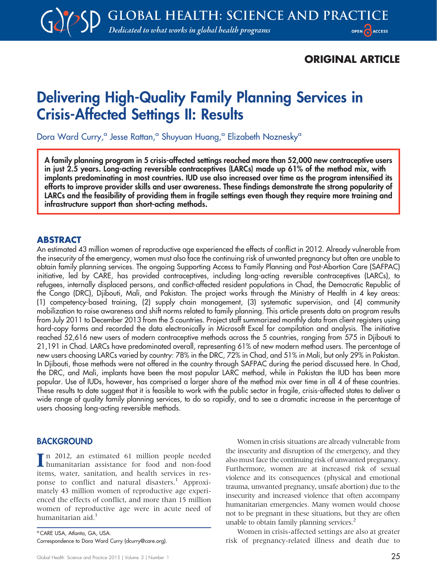## ORIGINAL ARTICLE

# Delivering High-Quality Family Planning Services in Crisis-Affected Settings II: Results

Dora Ward Curry,<sup>a</sup> Jesse Rattan,<sup>a</sup> Shuyuan Huang,<sup>a</sup> Elizabeth Noznesky<sup>a</sup>

A family planning program in 5 crisis-affected settings reached more than 52,000 new contraceptive users in just 2.5 years. Long-acting reversible contraceptives (LARCs) made up 61% of the method mix, with implants predominating in most countries. IUD use also increased over time as the program intensified its efforts to improve provider skills and user awareness. These findings demonstrate the strong popularity of LARCs and the feasibility of providing them in fragile settings even though they require more training and infrastructure support than short-acting methods.

#### ABSTRACT

An estimated 43 million women of reproductive age experienced the effects of conflict in 2012. Already vulnerable from the insecurity of the emergency, women must also face the continuing risk of unwanted pregnancy but often are unable to obtain family planning services. The ongoing Supporting Access to Family Planning and Post-Abortion Care (SAFPAC) initiative, led by CARE, has provided contraceptives, including long-acting reversible contraceptives (LARCs), to refugees, internally displaced persons, and conflict-affected resident populations in Chad, the Democratic Republic of the Congo (DRC), Djibouti, Mali, and Pakistan. The project works through the Ministry of Health in 4 key areas: (1) competency-based training, (2) supply chain management, (3) systematic supervision, and (4) community mobilization to raise awareness and shift norms related to family planning. This article presents data on program results from July 2011 to December 2013 from the 5 countries. Project staff summarized monthly data from client registers using hard-copy forms and recorded the data electronically in Microsoft Excel for compilation and analysis. The initiative reached 52,616 new users of modern contraceptive methods across the 5 countries, ranging from 575 in Djibouti to 21,191 in Chad. LARCs have predominated overall, representing 61% of new modern method users. The percentage of new users choosing LARCs varied by country: 78% in the DRC, 72% in Chad, and 51% in Mali, but only 29% in Pakistan. In Djibouti, those methods were not offered in the country through SAFPAC during the period discussed here. In Chad, the DRC, and Mali, implants have been the most popular LARC method, while in Pakistan the IUD has been more popular. Use of IUDs, however, has comprised a larger share of the method mix over time in all 4 of these countries. These results to date suggest that it is feasible to work with the public sector in fragile, crisis-affected states to deliver a wide range of quality family planning services, to do so rapidly, and to see a dramatic increase in the percentage of users choosing long-acting reversible methods.

#### BACKGROUND

I n 2012, an estimated 61 million people needed humanitarian assistance for food and non-food items, water, sanitation, and health services in response to conflict and natural disasters.<sup>1</sup> Approximately 43 million women of reproductive age experienced the effects of conflict, and more than 15 million women of reproductive age were in acute need of humanitarian aid.<sup>1</sup>

<sup>a</sup> CARE USA, Atlanta, GA, USA. Correspondence to Dora Ward Curry (dcurry@care.org).

Women in crisis situations are already vulnerable from the insecurity and disruption of the emergency, and they also must face the continuing risk of unwanted pregnancy. Furthermore, women are at increased risk of sexual violence and its consequences (physical and emotional trauma, unwanted pregnancy, unsafe abortion) due to the insecurity and increased violence that often accompany humanitarian emergencies. Many women would choose not to be pregnant in these situations, but they are often unable to obtain family planning services.<sup>2</sup>

Women in crisis-affected settings are also at greater risk of pregnancy-related illness and death due to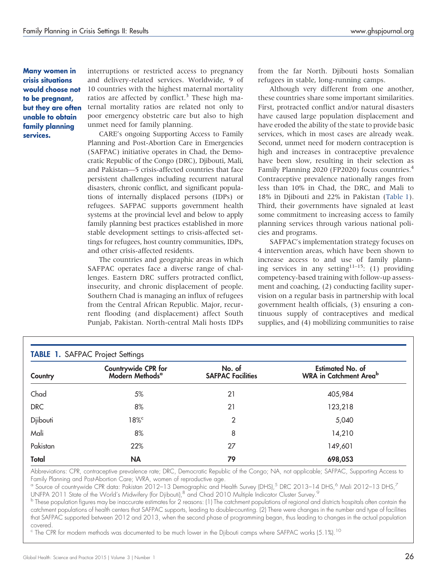<span id="page-1-0"></span>Many women in crisis situations would choose not to be pregnant, but they are often unable to obtain family planning services.

interruptions or restricted access to pregnancy and delivery-related services. Worldwide, 9 of 10 countries with the highest maternal mortality ratios are affected by conflict.<sup>3</sup> These high maternal mortality ratios are related not only to poor emergency obstetric care but also to high unmet need for family planning.

CARE's ongoing Supporting Access to Family Planning and Post-Abortion Care in Emergencies (SAFPAC) initiative operates in Chad, the Democratic Republic of the Congo (DRC), Djibouti, Mali, and Pakistan—5 crisis-affected countries that face persistent challenges including recurrent natural disasters, chronic conflict, and significant populations of internally displaced persons (IDPs) or refugees. SAFPAC supports government health systems at the provincial level and below to apply family planning best practices established in more stable development settings to crisis-affected settings for refugees, host country communities, IDPs, and other crisis-affected residents.

The countries and geographic areas in which SAFPAC operates face a diverse range of challenges. Eastern DRC suffers protracted conflict, insecurity, and chronic displacement of people. Southern Chad is managing an influx of refugees from the Central African Republic. Major, recurrent flooding (and displacement) affect South Punjab, Pakistan. North-central Mali hosts IDPs from the far North. Djibouti hosts Somalian refugees in stable, long-running camps.

Although very different from one another, these countries share some important similarities. First, protracted conflict and/or natural disasters have caused large population displacement and have eroded the ability of the state to provide basic services, which in most cases are already weak. Second, unmet need for modern contraception is high and increases in contraceptive prevalence have been slow, resulting in their selection as Family Planning 2020 (FP2020) focus countries.4 Contraceptive prevalence nationally ranges from less than 10% in Chad, the DRC, and Mali to 18% in Djibouti and 22% in Pakistan (Table 1). Third, their governments have signaled at least some commitment to increasing access to family planning services through various national policies and programs.

SAFPAC's implementation strategy focuses on 4 intervention areas, which have been shown to increase access to and use of family planning services in any setting<sup>11-15</sup>: (1) providing competency-based training with follow-up assessment and coaching, (2) conducting facility supervision on a regular basis in partnership with local government health officials, (3) ensuring a continuous supply of contraceptives and medical supplies, and (4) mobilizing communities to raise

|            | Countrywide CPR for<br>Modern Methods <sup>a</sup> | No. of                   | <b>Estimated No. of</b>                   |  |
|------------|----------------------------------------------------|--------------------------|-------------------------------------------|--|
| Country    |                                                    | <b>SAFPAC Facilities</b> | <b>WRA</b> in Catchment Area <sup>b</sup> |  |
| Chad       | 5%                                                 | 21                       | 405,984                                   |  |
| <b>DRC</b> | 8%                                                 | 21                       | 123,218                                   |  |
| Djibouti   | $18\%$                                             | 2                        | 5,040                                     |  |
| Mali       | 8%                                                 | 8                        | 14,210                                    |  |
| Pakistan   | 22%                                                | 27                       | 149,601                                   |  |
| Total      | <b>NA</b>                                          | 79                       | 698,053                                   |  |

Abbreviations: CPR, contraceptive prevalence rate; DRC, Democratic Republic of the Congo; NA, not applicable; SAFPAC, Supporting Access to Family Planning and Post-Abortion Care; WRA, women of reproductive age.

<sup>a</sup> Source of countrywide CPR data: Pakistan 2012–13 Demographic and Health Survey (DHS),<sup>5</sup> DRC 2013–14 DHS,<sup>6</sup> Mali 2012–13 DHS,<sup>7</sup> UNFPA 2011 State of the World's Midwifery (for Djibouti), <sup>8</sup> and Chad 2010 Multiple Indicator Cluster Survey.<sup>9</sup>

<sup>b</sup> These population figures may be inaccurate estimates for 2 reasons: (1) The catchment populations of regional and districts hospitals often contain the catchment populations of health centers that SAFPAC supports, leading to double-counting. (2) There were changes in the number and type of facilities that SAFPAC supported between 2012 and 2013, when the second phase of programming began, thus leading to changes in the actual population covered.

 $\rm ^c$  The CPR for modern methods was documented to be much lower in the Djibouti camps where SAFPAC works (5.1%).<sup>10</sup>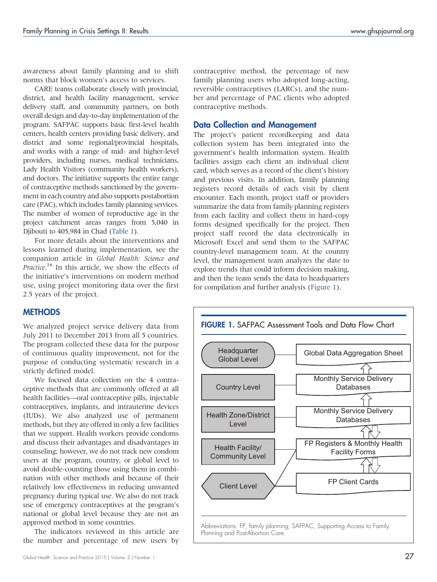awareness about family planning and to shift norms that block women's access to services.

CARE teams collaborate closely with provincial, district, and health facility management, service delivery staff, and community partners, on both overall design and day-to-day implementation of the program. SAFPAC supports basic first-level health centers, health centers providing basic delivery, and district and some regional/provincial hospitals, and works with a range of mid- and higher-level providers, including nurses, medical technicians, Lady Health Visitors (community health workers), and doctors. The initiative supports the entire range of contraceptive methods sanctioned by the government in each country and also supports postabortion care (PAC), which includes family planning services. The number of women of reproductive age in the project catchment areas ranges from 5,040 in Djibouti to 405,984 in Chad [\(Table 1\)](#page-1-0).

For more details about the interventions and lessons learned during implementation, see the companion article in Global Health: Science and Practice.<sup>16</sup> In this article, we show the effects of the initiative's interventions on modern method use, using project monitoring data over the first 2.5 years of the project.

#### **METHODS**

We analyzed project service delivery data from July 2011 to December 2013 from all 5 countries. The program collected these data for the purpose of continuous quality improvement, not for the purpose of conducting systematic research in a strictly defined model.

We focused data collection on the 4 contraceptive methods that are commonly offered at all health facilities—oral contraceptive pills, injectable contraceptives, implants, and intrauterine devices (IUDs). We also analyzed use of permanent methods, but they are offered in only a few facilities that we support. Health workers provide condoms and discuss their advantages and disadvantages in counseling; however, we do not track new condom users at the program, country, or global level to avoid double-counting those using them in combination with other methods and because of their relatively low effectiveness in reducing unwanted pregnancy during typical use. We also do not track use of emergency contraceptives at the program's national or global level because they are not an approved method in some countries.

The indicators reviewed in this article are the number and percentage of new users by

### Data Collection and Management

The project's patient recordkeeping and data collection system has been integrated into the government's health information system. Health facilities assign each client an individual client card, which serves as a record of the client's history and previous visits. In addition, family planning registers record details of each visit by client encounter. Each month, project staff or providers summarize the data from family planning registers from each facility and collect them in hard-copy forms designed specifically for the project. Then project staff record the data electronically in Microsoft Excel and send them to the SAFPAC country-level management team. At the country level, the management team analyzes the date to explore trends that could inform decision making, and then the team sends the data to headquarters for compilation and further analysis (Figure 1).

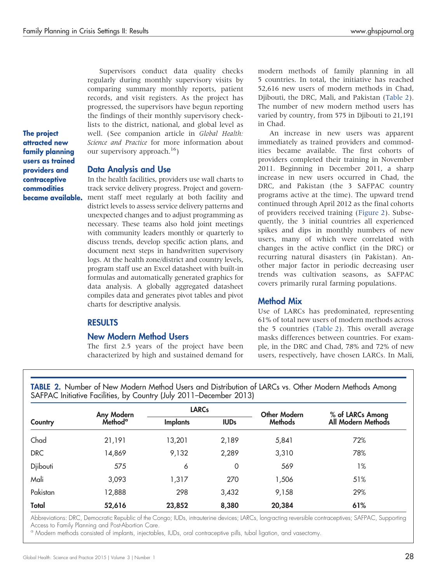Supervisors conduct data quality checks regularly during monthly supervisory visits by comparing summary monthly reports, patient records, and visit registers. As the project has progressed, the supervisors have begun reporting the findings of their monthly supervisory checklists to the district, national, and global level as well. (See companion article in Global Health: Science and Practice for more information about our supervisory approach.<sup>16</sup>)

The project attracted new family planning users as trained providers and contraceptive commodities became available.

#### Data Analysis and Use

In the health facilities, providers use wall charts to track service delivery progress. Project and government staff meet regularly at both facility and district levels to assess service delivery patterns and unexpected changes and to adjust programming as necessary. These teams also hold joint meetings with community leaders monthly or quarterly to discuss trends, develop specific action plans, and document next steps in handwritten supervisory logs. At the health zone/district and country levels, program staff use an Excel datasheet with built-in formulas and automatically generated graphics for data analysis. A globally aggregated datasheet compiles data and generates pivot tables and pivot charts for descriptive analysis.

#### RESULTS

#### New Modern Method Users

The first 2.5 years of the project have been characterized by high and sustained demand for modern methods of family planning in all 5 countries. In total, the initiative has reached 52,616 new users of modern methods in Chad, Djibouti, the DRC, Mali, and Pakistan (Table 2). The number of new modern method users has varied by country, from 575 in Djibouti to 21,191 in Chad.

An increase in new users was apparent immediately as trained providers and commodities became available. The first cohorts of providers completed their training in November 2011. Beginning in December 2011, a sharp increase in new users occurred in Chad, the DRC, and Pakistan (the 3 SAFPAC country programs active at the time). The upward trend continued through April 2012 as the final cohorts of providers received training ([Figure 2](#page-4-0)). Subsequently, the 3 initial countries all experienced spikes and dips in monthly numbers of new users, many of which were correlated with changes in the active conflict (in the DRC) or recurring natural disasters (in Pakistan). Another major factor in periodic decreasing user trends was cultivation seasons, as SAFPAC covers primarily rural farming populations.

#### Method Mix

Use of LARCs has predominated, representing 61% of total new users of modern methods across the 5 countries (Table 2). This overall average masks differences between countries. For example, in the DRC and Chad, 78% and 72% of new users, respectively, have chosen LARCs. In Mali,

TABLE 2. Number of New Modern Method Users and Distribution of LARCs vs. Other Modern Methods Among SAFPAC Initiative Facilities, by Country (July 2011–December 2013)

| Country    | Any Modern<br>Method <sup>a</sup> | <b>LARCs</b>    |             | <b>Other Modern</b> | % of LARCs Among   |
|------------|-----------------------------------|-----------------|-------------|---------------------|--------------------|
|            |                                   | <b>Implants</b> | <b>IUDs</b> | <b>Methods</b>      | All Modern Methods |
| Chad       | 21,191                            | 13,201          | 2,189       | 5,841               | 72%                |
| <b>DRC</b> | 14,869                            | 9,132           | 2,289       | 3,310               | 78%                |
| Djibouti   | 575                               | 6               | 0           | 569                 | 1%                 |
| Mali       | 3,093                             | 1,317           | 270         | 1,506               | 51%                |
| Pakistan   | 12,888                            | 298             | 3,432       | 9,158               | 29%                |
| Total      | 52,616                            | 23,852          | 8,380       | 20,384              | 61%                |

Abbreviations: DRC, Democratic Republic of the Congo; IUDs, intrauterine devices; LARCs, long-acting reversible contraceptives; SAFPAC, Supporting Access to Family Planning and Post-Abortion Care.

<sup>a</sup> Modern methods consisted of implants, injectables, IUDs, oral contraceptive pills, tubal ligation, and vasectomy.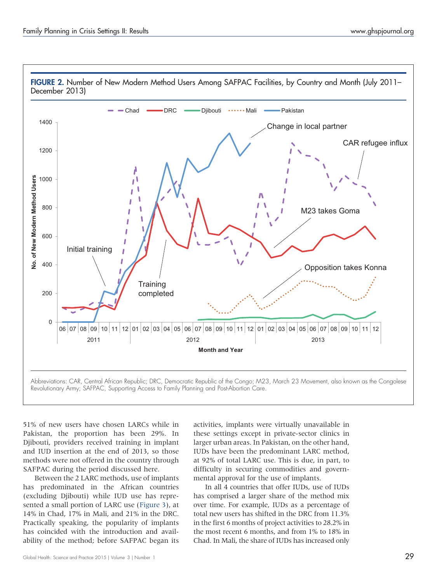<span id="page-4-0"></span>

51% of new users have chosen LARCs while in Pakistan, the proportion has been 29%. In Djibouti, providers received training in implant and IUD insertion at the end of 2013, so those methods were not offered in the country through SAFPAC during the period discussed here.

Between the 2 LARC methods, use of implants has predominated in the African countries (excluding Djibouti) while IUD use has represented a small portion of LARC use [\(Figure 3](#page-5-0)), at 14% in Chad, 17% in Mali, and 21% in the DRC. Practically speaking, the popularity of implants has coincided with the introduction and availability of the method; before SAFPAC began its activities, implants were virtually unavailable in these settings except in private-sector clinics in larger urban areas. In Pakistan, on the other hand, IUDs have been the predominant LARC method, at 92% of total LARC use. This is due, in part, to difficulty in securing commodities and governmental approval for the use of implants.

In all 4 countries that offer IUDs, use of IUDs has comprised a larger share of the method mix over time. For example, IUDs as a percentage of total new users has shifted in the DRC from 11.3% in the first 6 months of project activities to 28.2% in the most recent 6 months, and from 1% to 18% in Chad. In Mali, the share of IUDs has increased only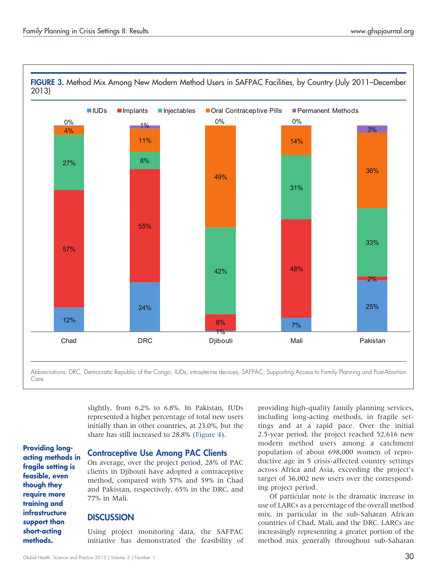<span id="page-5-0"></span>

slightly, from 6.2% to 6.8%. In Pakistan, IUDs represented a higher percentage of total new users initially than in other countries, at 23.0%, but the share has still increased to 28.8% ([Figure 4](#page-6-0)).

acting methods in fragile setting is feasible, even though they require more training and infrastructure support than short-acting

Providing long-

methods.

#### Contraceptive Use Among PAC Clients

On average, over the project period, 28% of PAC clients in Djibouti have adopted a contraceptive method, compared with 57% and 59% in Chad and Pakistan, respectively, 65% in the DRC, and 77% in Mali.

#### **DISCUSSION**

Using project monitoring data, the SAFPAC initiative has demonstrated the feasibility of providing high-quality family planning services, including long-acting methods, in fragile settings and at a rapid pace. Over the initial 2.5-year period, the project reached 52,616 new modern method users among a catchment population of about 698,000 women of reproductive age in 5 crisis-affected country settings across Africa and Asia, exceeding the project's target of 36,002 new users over the corresponding project period.

Of particular note is the dramatic increase in use of LARCs as a percentage of the overall method mix, in particular in the sub-Saharan African countries of Chad, Mali, and the DRC. LARCs are increasingly representing a greater portion of the method mix generally throughout sub-Saharan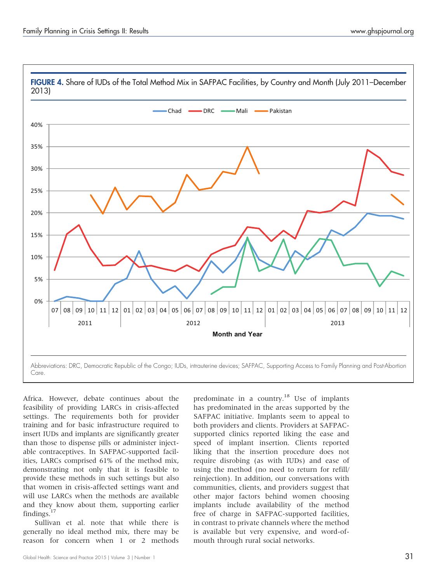<span id="page-6-0"></span>

Africa. However, debate continues about the feasibility of providing LARCs in crisis-affected settings. The requirements both for provider training and for basic infrastructure required to insert IUDs and implants are significantly greater than those to dispense pills or administer injectable contraceptives. In SAFPAC-supported facilities, LARCs comprised 61% of the method mix, demonstrating not only that it is feasible to provide these methods in such settings but also that women in crisis-affected settings want and will use LARCs when the methods are available and they know about them, supporting earlier findings. $17$ 

Sullivan et al. note that while there is generally no ideal method mix, there may be reason for concern when 1 or 2 methods

predominate in a country.<sup>18</sup> Use of implants has predominated in the areas supported by the SAFPAC initiative. Implants seem to appeal to both providers and clients. Providers at SAFPACsupported clinics reported liking the ease and speed of implant insertion. Clients reported liking that the insertion procedure does not require disrobing (as with IUDs) and ease of using the method (no need to return for refill/ reinjection). In addition, our conversations with communities, clients, and providers suggest that other major factors behind women choosing implants include availability of the method free of charge in SAFPAC-supported facilities, in contrast to private channels where the method is available but very expensive, and word-ofmouth through rural social networks.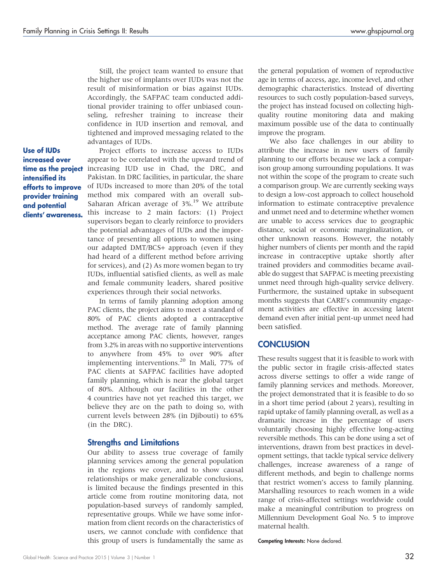Still, the project team wanted to ensure that the higher use of implants over IUDs was not the result of misinformation or bias against IUDs. Accordingly, the SAFPAC team conducted additional provider training to offer unbiased counseling, refresher training to increase their confidence in IUD insertion and removal, and tightened and improved messaging related to the advantages of IUDs.

Use of IUDs increased over time as the project intensified its efforts to improve provider training and potential clients' awareness.

Project efforts to increase access to IUDs appear to be correlated with the upward trend of increasing IUD use in Chad, the DRC, and Pakistan. In DRC facilities, in particular, the share of IUDs increased to more than 20% of the total method mix compared with an overall sub-Saharan African average of 3%.<sup>19</sup> We attribute this increase to 2 main factors: (1) Project supervisors began to clearly reinforce to providers the potential advantages of IUDs and the importance of presenting all options to women using our adapted DMT/BCS+ approach (even if they had heard of a different method before arriving for services), and (2) As more women began to try IUDs, influential satisfied clients, as well as male and female community leaders, shared positive experiences through their social networks.

In terms of family planning adoption among PAC clients, the project aims to meet a standard of 80% of PAC clients adopted a contraceptive method. The average rate of family planning acceptance among PAC clients, however, ranges from 3.2% in areas with no supportive interventions to anywhere from 45% to over 90% after implementing interventions.<sup>20</sup> In Mali, 77% of PAC clients at SAFPAC facilities have adopted family planning, which is near the global target of 80%. Although our facilities in the other 4 countries have not yet reached this target, we believe they are on the path to doing so, with current levels between 28% (in Djibouti) to 65% (in the DRC).

#### Strengths and Limitations

Our ability to assess true coverage of family planning services among the general population in the regions we cover, and to show causal relationships or make generalizable conclusions, is limited because the findings presented in this article come from routine monitoring data, not population-based surveys of randomly sampled, representative groups. While we have some information from client records on the characteristics of users, we cannot conclude with confidence that this group of users is fundamentally the same as

the general population of women of reproductive age in terms of access, age, income level, and other demographic characteristics. Instead of diverting resources to such costly population-based surveys, the project has instead focused on collecting highquality routine monitoring data and making maximum possible use of the data to continually improve the program.

We also face challenges in our ability to attribute the increase in new users of family planning to our efforts because we lack a comparison group among surrounding populations. It was not within the scope of the program to create such a comparison group. We are currently seeking ways to design a low-cost approach to collect household information to estimate contraceptive prevalence and unmet need and to determine whether women are unable to access services due to geographic distance, social or economic marginalization, or other unknown reasons. However, the notably higher numbers of clients per month and the rapid increase in contraceptive uptake shortly after trained providers and commodities became available do suggest that SAFPAC is meeting preexisting unmet need through high-quality service delivery. Furthermore, the sustained uptake in subsequent months suggests that CARE's community engagement activities are effective in accessing latent demand even after initial pent-up unmet need had been satisfied.

#### **CONCLUSION**

These results suggest that it is feasible to work with the public sector in fragile crisis-affected states across diverse settings to offer a wide range of family planning services and methods. Moreover, the project demonstrated that it is feasible to do so in a short time period (about 2 years), resulting in rapid uptake of family planning overall, as well as a dramatic increase in the percentage of users voluntarily choosing highly effective long-acting reversible methods. This can be done using a set of interventions, drawn from best practices in development settings, that tackle typical service delivery challenges, increase awareness of a range of different methods, and begin to challenge norms that restrict women's access to family planning. Marshalling resources to reach women in a wide range of crisis-affected settings worldwide could make a meaningful contribution to progress on Millennium Development Goal No. 5 to improve maternal health.

Competing Interests: None declared.